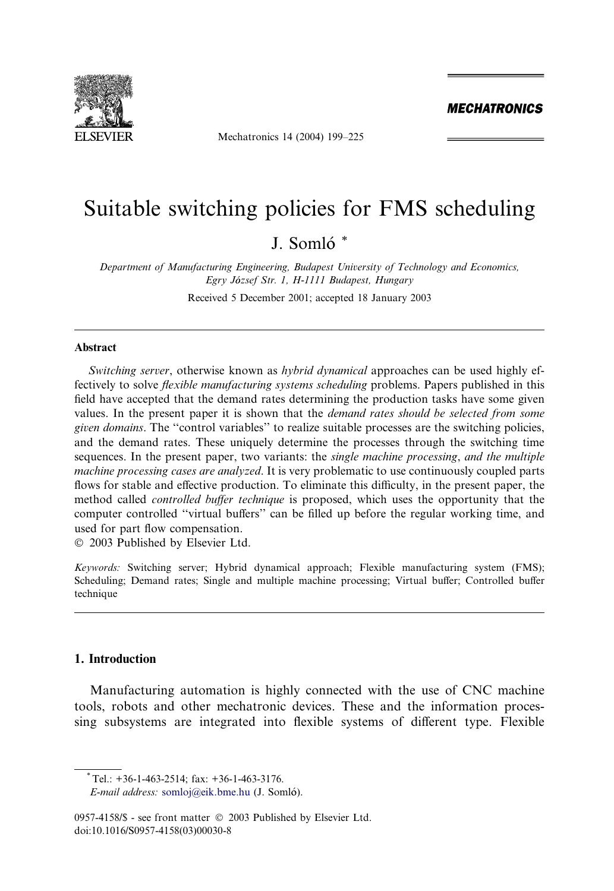

Mechatronics 14 (2004) 199–225

**MECHATRONICS** 

## Suitable switching policies for FMS scheduling

### J. Somló<sup>\*</sup>

Department of Manufacturing Engineering, Budapest University of Technology and Economics, Egry Jozsef Str. 1, H-1111 Budapest, Hungary

Received 5 December 2001; accepted 18 January 2003

#### Abstract

Switching server, otherwise known as *hybrid dynamical* approaches can be used highly effectively to solve flexible manufacturing systems scheduling problems. Papers published in this field have accepted that the demand rates determining the production tasks have some given values. In the present paper it is shown that the *demand rates should be selected from some* given domains. The ''control variables'' to realize suitable processes are the switching policies, and the demand rates. These uniquely determine the processes through the switching time sequences. In the present paper, two variants: the *single machine processing*, and the multiple machine processing cases are analyzed. It is very problematic to use continuously coupled parts flows for stable and effective production. To eliminate this difficulty, in the present paper, the method called controlled buffer technique is proposed, which uses the opportunity that the computer controlled ''virtual buffers'' can be filled up before the regular working time, and used for part flow compensation.

2003 Published by Elsevier Ltd.

Keywords: Switching server; Hybrid dynamical approach; Flexible manufacturing system (FMS); Scheduling; Demand rates; Single and multiple machine processing; Virtual buffer; Controlled buffer technique

#### 1. Introduction

Manufacturing automation is highly connected with the use of CNC machine tools, robots and other mechatronic devices. These and the information processing subsystems are integrated into flexible systems of different type. Flexible

Tel.: +36-1-463-2514; fax: +36-1-463-3176.

E-mail address: [somloj@eik.bme.hu](mail to: somloj@eik.bme.hu) (J. Somlo).

<sup>0957-4158/\$ -</sup> see front matter  $\degree$  2003 Published by Elsevier Ltd. doi:10.1016/S0957-4158(03)00030-8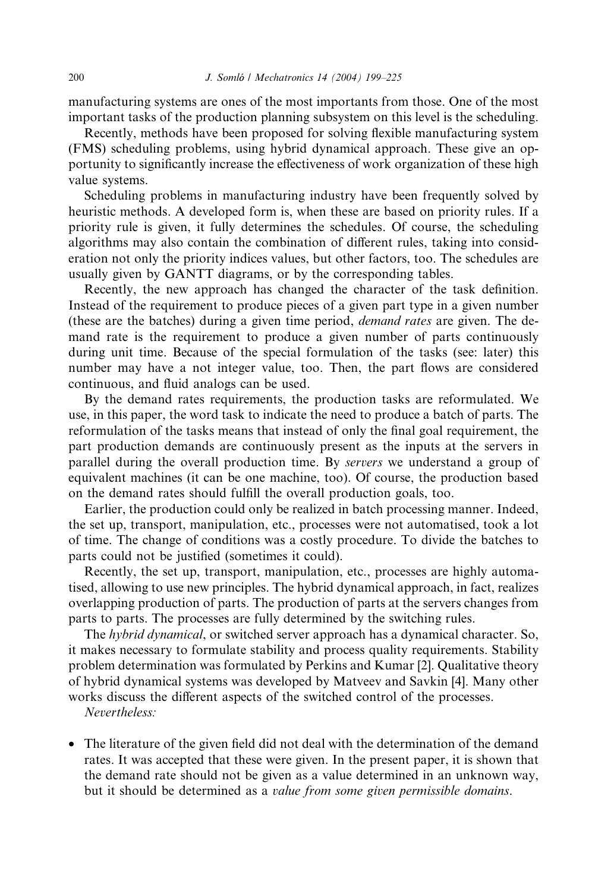manufacturing systems are ones of the most importants from those. One of the most important tasks of the production planning subsystem on this level is the scheduling.

Recently, methods have been proposed for solving flexible manufacturing system (FMS) scheduling problems, using hybrid dynamical approach. These give an opportunity to significantly increase the effectiveness of work organization of these high value systems.

Scheduling problems in manufacturing industry have been frequently solved by heuristic methods. A developed form is, when these are based on priority rules. If a priority rule is given, it fully determines the schedules. Of course, the scheduling algorithms may also contain the combination of different rules, taking into consideration not only the priority indices values, but other factors, too. The schedules are usually given by GANTT diagrams, or by the corresponding tables.

Recently, the new approach has changed the character of the task definition. Instead of the requirement to produce pieces of a given part type in a given number (these are the batches) during a given time period, demand rates are given. The demand rate is the requirement to produce a given number of parts continuously during unit time. Because of the special formulation of the tasks (see: later) this number may have a not integer value, too. Then, the part flows are considered continuous, and fluid analogs can be used.

By the demand rates requirements, the production tasks are reformulated. We use, in this paper, the word task to indicate the need to produce a batch of parts. The reformulation of the tasks means that instead of only the final goal requirement, the part production demands are continuously present as the inputs at the servers in parallel during the overall production time. By servers we understand a group of equivalent machines (it can be one machine, too). Of course, the production based on the demand rates should fulfill the overall production goals, too.

Earlier, the production could only be realized in batch processing manner. Indeed, the set up, transport, manipulation, etc., processes were not automatised, took a lot of time. The change of conditions was a costly procedure. To divide the batches to parts could not be justified (sometimes it could).

Recently, the set up, transport, manipulation, etc., processes are highly automatised, allowing to use new principles. The hybrid dynamical approach, in fact, realizes overlapping production of parts. The production of parts at the servers changes from parts to parts. The processes are fully determined by the switching rules.

The hybrid dynamical, or switched server approach has a dynamical character. So, it makes necessary to formulate stability and process quality requirements. Stability problem determination was formulated by Perkins and Kumar [2]. Qualitative theory of hybrid dynamical systems was developed by Matveev and Savkin [4]. Many other works discuss the different aspects of the switched control of the processes.

Nevertheless:

• The literature of the given field did not deal with the determination of the demand rates. It was accepted that these were given. In the present paper, it is shown that the demand rate should not be given as a value determined in an unknown way, but it should be determined as a value from some given permissible domains.